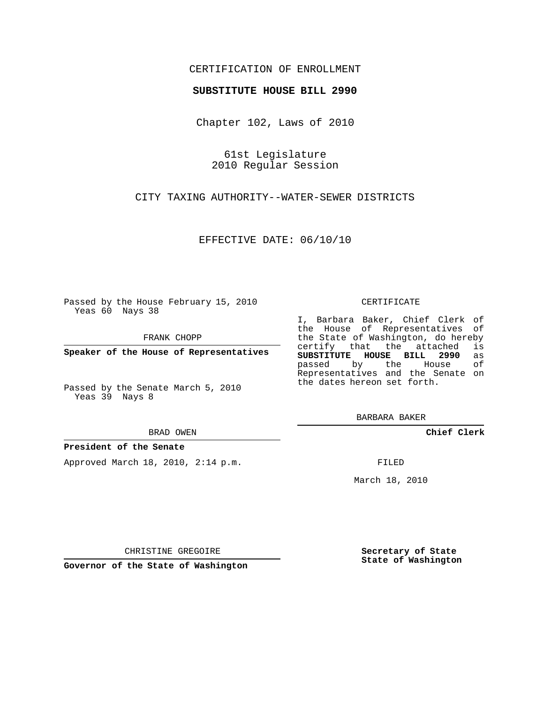## CERTIFICATION OF ENROLLMENT

## **SUBSTITUTE HOUSE BILL 2990**

Chapter 102, Laws of 2010

61st Legislature 2010 Regular Session

CITY TAXING AUTHORITY--WATER-SEWER DISTRICTS

EFFECTIVE DATE: 06/10/10

Passed by the House February 15, 2010 Yeas 60 Nays 38

FRANK CHOPP

**Speaker of the House of Representatives**

Passed by the Senate March 5, 2010 Yeas 39 Nays 8

BRAD OWEN

## **President of the Senate**

Approved March 18, 2010, 2:14 p.m.

CERTIFICATE

I, Barbara Baker, Chief Clerk of the House of Representatives of the State of Washington, do hereby<br>certify that the attached is certify that the attached **SUBSTITUTE HOUSE BILL 2990** as passed by the Representatives and the Senate on the dates hereon set forth.

BARBARA BAKER

**Chief Clerk**

FILED

March 18, 2010

**Secretary of State State of Washington**

CHRISTINE GREGOIRE

**Governor of the State of Washington**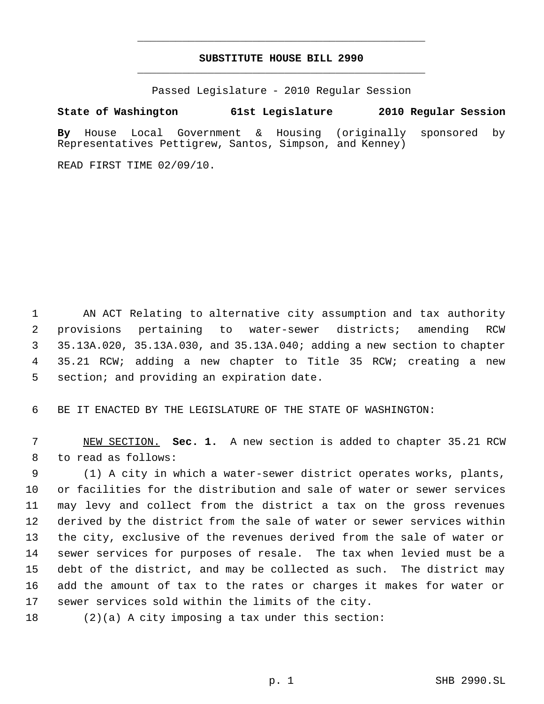# **SUBSTITUTE HOUSE BILL 2990** \_\_\_\_\_\_\_\_\_\_\_\_\_\_\_\_\_\_\_\_\_\_\_\_\_\_\_\_\_\_\_\_\_\_\_\_\_\_\_\_\_\_\_\_\_

\_\_\_\_\_\_\_\_\_\_\_\_\_\_\_\_\_\_\_\_\_\_\_\_\_\_\_\_\_\_\_\_\_\_\_\_\_\_\_\_\_\_\_\_\_

Passed Legislature - 2010 Regular Session

# **State of Washington 61st Legislature 2010 Regular Session**

**By** House Local Government & Housing (originally sponsored by Representatives Pettigrew, Santos, Simpson, and Kenney)

READ FIRST TIME 02/09/10.

 AN ACT Relating to alternative city assumption and tax authority provisions pertaining to water-sewer districts; amending RCW 35.13A.020, 35.13A.030, and 35.13A.040; adding a new section to chapter 35.21 RCW; adding a new chapter to Title 35 RCW; creating a new 5 section; and providing an expiration date.

BE IT ENACTED BY THE LEGISLATURE OF THE STATE OF WASHINGTON:

 NEW SECTION. **Sec. 1.** A new section is added to chapter 35.21 RCW to read as follows:

 (1) A city in which a water-sewer district operates works, plants, or facilities for the distribution and sale of water or sewer services may levy and collect from the district a tax on the gross revenues derived by the district from the sale of water or sewer services within the city, exclusive of the revenues derived from the sale of water or sewer services for purposes of resale. The tax when levied must be a debt of the district, and may be collected as such. The district may add the amount of tax to the rates or charges it makes for water or sewer services sold within the limits of the city.

(2)(a) A city imposing a tax under this section: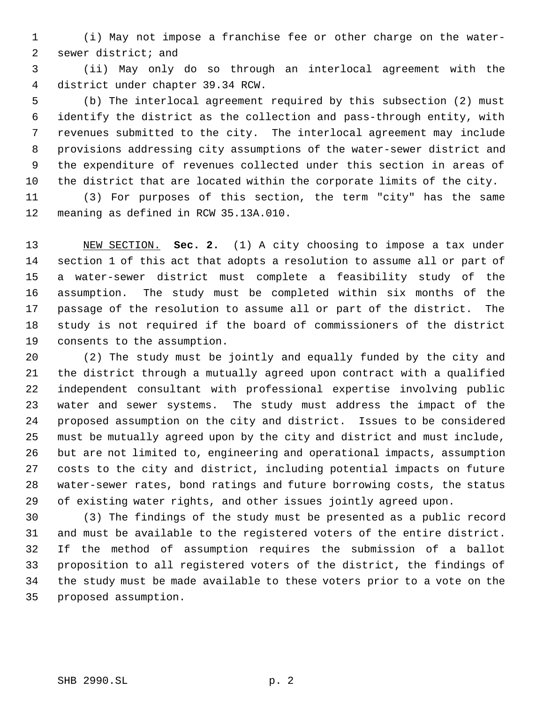(i) May not impose a franchise fee or other charge on the water- sewer district; and

 (ii) May only do so through an interlocal agreement with the district under chapter 39.34 RCW.

 (b) The interlocal agreement required by this subsection (2) must identify the district as the collection and pass-through entity, with revenues submitted to the city. The interlocal agreement may include provisions addressing city assumptions of the water-sewer district and the expenditure of revenues collected under this section in areas of the district that are located within the corporate limits of the city.

 (3) For purposes of this section, the term "city" has the same meaning as defined in RCW 35.13A.010.

 NEW SECTION. **Sec. 2.** (1) A city choosing to impose a tax under section 1 of this act that adopts a resolution to assume all or part of a water-sewer district must complete a feasibility study of the assumption. The study must be completed within six months of the passage of the resolution to assume all or part of the district. The study is not required if the board of commissioners of the district consents to the assumption.

 (2) The study must be jointly and equally funded by the city and the district through a mutually agreed upon contract with a qualified independent consultant with professional expertise involving public water and sewer systems. The study must address the impact of the proposed assumption on the city and district. Issues to be considered must be mutually agreed upon by the city and district and must include, but are not limited to, engineering and operational impacts, assumption costs to the city and district, including potential impacts on future water-sewer rates, bond ratings and future borrowing costs, the status of existing water rights, and other issues jointly agreed upon.

 (3) The findings of the study must be presented as a public record and must be available to the registered voters of the entire district. If the method of assumption requires the submission of a ballot proposition to all registered voters of the district, the findings of the study must be made available to these voters prior to a vote on the proposed assumption.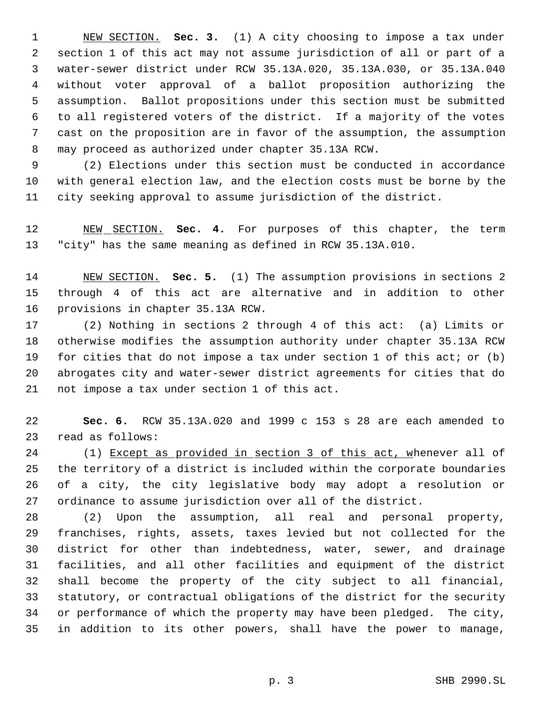NEW SECTION. **Sec. 3.** (1) A city choosing to impose a tax under section 1 of this act may not assume jurisdiction of all or part of a water-sewer district under RCW 35.13A.020, 35.13A.030, or 35.13A.040 without voter approval of a ballot proposition authorizing the assumption. Ballot propositions under this section must be submitted to all registered voters of the district. If a majority of the votes cast on the proposition are in favor of the assumption, the assumption may proceed as authorized under chapter 35.13A RCW.

 (2) Elections under this section must be conducted in accordance with general election law, and the election costs must be borne by the city seeking approval to assume jurisdiction of the district.

 NEW SECTION. **Sec. 4.** For purposes of this chapter, the term "city" has the same meaning as defined in RCW 35.13A.010.

 NEW SECTION. **Sec. 5.** (1) The assumption provisions in sections 2 through 4 of this act are alternative and in addition to other provisions in chapter 35.13A RCW.

 (2) Nothing in sections 2 through 4 of this act: (a) Limits or otherwise modifies the assumption authority under chapter 35.13A RCW for cities that do not impose a tax under section 1 of this act; or (b) abrogates city and water-sewer district agreements for cities that do not impose a tax under section 1 of this act.

 **Sec. 6.** RCW 35.13A.020 and 1999 c 153 s 28 are each amended to read as follows:

24 (1) Except as provided in section 3 of this act, whenever all of the territory of a district is included within the corporate boundaries of a city, the city legislative body may adopt a resolution or ordinance to assume jurisdiction over all of the district.

 (2) Upon the assumption, all real and personal property, franchises, rights, assets, taxes levied but not collected for the district for other than indebtedness, water, sewer, and drainage facilities, and all other facilities and equipment of the district shall become the property of the city subject to all financial, statutory, or contractual obligations of the district for the security or performance of which the property may have been pledged. The city, in addition to its other powers, shall have the power to manage,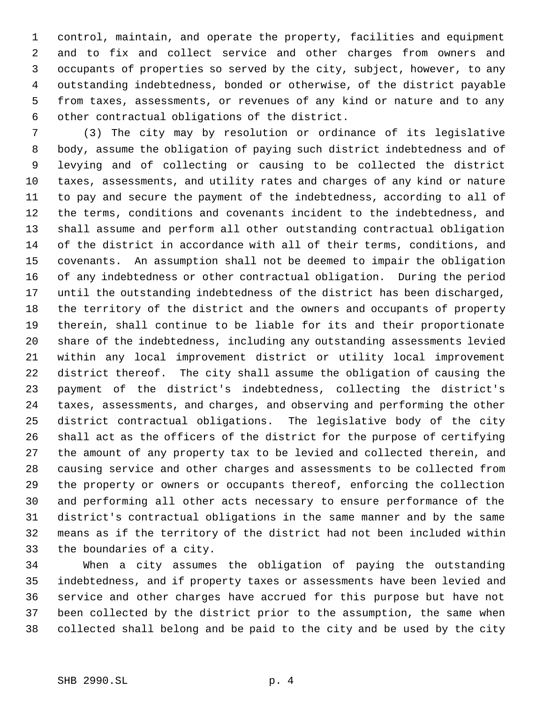control, maintain, and operate the property, facilities and equipment and to fix and collect service and other charges from owners and occupants of properties so served by the city, subject, however, to any outstanding indebtedness, bonded or otherwise, of the district payable from taxes, assessments, or revenues of any kind or nature and to any other contractual obligations of the district.

 (3) The city may by resolution or ordinance of its legislative body, assume the obligation of paying such district indebtedness and of levying and of collecting or causing to be collected the district taxes, assessments, and utility rates and charges of any kind or nature to pay and secure the payment of the indebtedness, according to all of the terms, conditions and covenants incident to the indebtedness, and shall assume and perform all other outstanding contractual obligation of the district in accordance with all of their terms, conditions, and covenants. An assumption shall not be deemed to impair the obligation of any indebtedness or other contractual obligation. During the period until the outstanding indebtedness of the district has been discharged, the territory of the district and the owners and occupants of property therein, shall continue to be liable for its and their proportionate share of the indebtedness, including any outstanding assessments levied within any local improvement district or utility local improvement district thereof. The city shall assume the obligation of causing the payment of the district's indebtedness, collecting the district's taxes, assessments, and charges, and observing and performing the other district contractual obligations. The legislative body of the city shall act as the officers of the district for the purpose of certifying the amount of any property tax to be levied and collected therein, and causing service and other charges and assessments to be collected from the property or owners or occupants thereof, enforcing the collection and performing all other acts necessary to ensure performance of the district's contractual obligations in the same manner and by the same means as if the territory of the district had not been included within the boundaries of a city.

 When a city assumes the obligation of paying the outstanding indebtedness, and if property taxes or assessments have been levied and service and other charges have accrued for this purpose but have not been collected by the district prior to the assumption, the same when collected shall belong and be paid to the city and be used by the city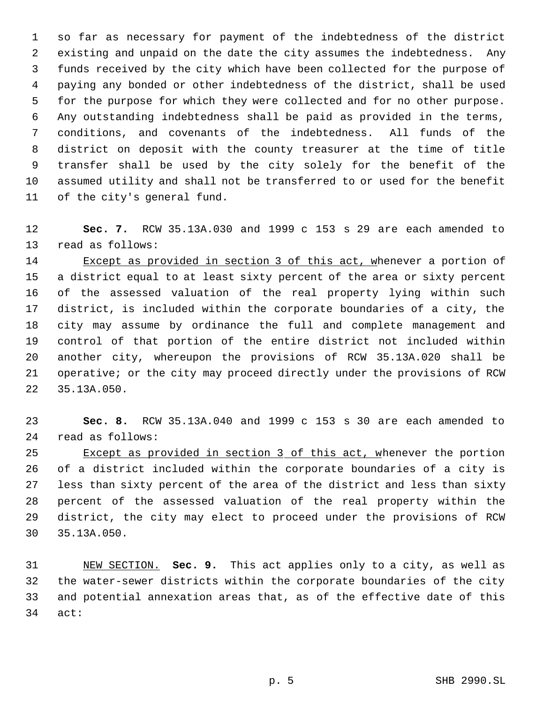so far as necessary for payment of the indebtedness of the district existing and unpaid on the date the city assumes the indebtedness. Any funds received by the city which have been collected for the purpose of paying any bonded or other indebtedness of the district, shall be used for the purpose for which they were collected and for no other purpose. Any outstanding indebtedness shall be paid as provided in the terms, conditions, and covenants of the indebtedness. All funds of the district on deposit with the county treasurer at the time of title transfer shall be used by the city solely for the benefit of the assumed utility and shall not be transferred to or used for the benefit of the city's general fund.

 **Sec. 7.** RCW 35.13A.030 and 1999 c 153 s 29 are each amended to read as follows:

14 Except as provided in section 3 of this act, whenever a portion of a district equal to at least sixty percent of the area or sixty percent of the assessed valuation of the real property lying within such district, is included within the corporate boundaries of a city, the city may assume by ordinance the full and complete management and control of that portion of the entire district not included within another city, whereupon the provisions of RCW 35.13A.020 shall be operative; or the city may proceed directly under the provisions of RCW 35.13A.050.

 **Sec. 8.** RCW 35.13A.040 and 1999 c 153 s 30 are each amended to read as follows:

25 Except as provided in section 3 of this act, whenever the portion of a district included within the corporate boundaries of a city is less than sixty percent of the area of the district and less than sixty percent of the assessed valuation of the real property within the district, the city may elect to proceed under the provisions of RCW 35.13A.050.

 NEW SECTION. **Sec. 9.** This act applies only to a city, as well as the water-sewer districts within the corporate boundaries of the city and potential annexation areas that, as of the effective date of this act: